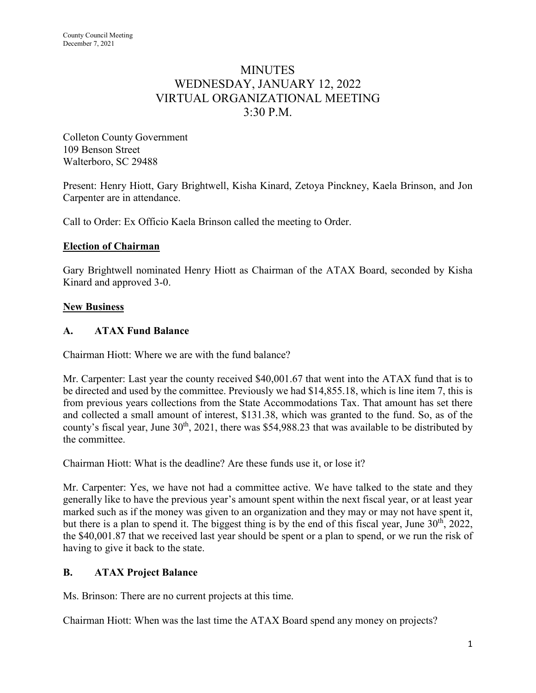# **MINUTES** WEDNESDAY, JANUARY 12, 2022 VIRTUAL ORGANIZATIONAL MEETING 3:30 P.M.

Colleton County Government 109 Benson Street Walterboro, SC 29488

Present: Henry Hiott, Gary Brightwell, Kisha Kinard, Zetoya Pinckney, Kaela Brinson, and Jon Carpenter are in attendance.

Call to Order: Ex Officio Kaela Brinson called the meeting to Order.

#### **Election of Chairman**

Gary Brightwell nominated Henry Hiott as Chairman of the ATAX Board, seconded by Kisha Kinard and approved 3-0.

### **New Business**

### **A. ATAX Fund Balance**

Chairman Hiott: Where we are with the fund balance?

Mr. Carpenter: Last year the county received \$40,001.67 that went into the ATAX fund that is to be directed and used by the committee. Previously we had \$14,855.18, which is line item 7, this is from previous years collections from the State Accommodations Tax. That amount has set there and collected a small amount of interest, \$131.38, which was granted to the fund. So, as of the county's fiscal year, June 30<sup>th</sup>, 2021, there was \$54,988.23 that was available to be distributed by the committee.

Chairman Hiott: What is the deadline? Are these funds use it, or lose it?

Mr. Carpenter: Yes, we have not had a committee active. We have talked to the state and they generally like to have the previous year's amount spent within the next fiscal year, or at least year marked such as if the money was given to an organization and they may or may not have spent it, but there is a plan to spend it. The biggest thing is by the end of this fiscal year, June 30<sup>th</sup>, 2022, the \$40,001.87 that we received last year should be spent or a plan to spend, or we run the risk of having to give it back to the state.

## **B. ATAX Project Balance**

Ms. Brinson: There are no current projects at this time.

Chairman Hiott: When was the last time the ATAX Board spend any money on projects?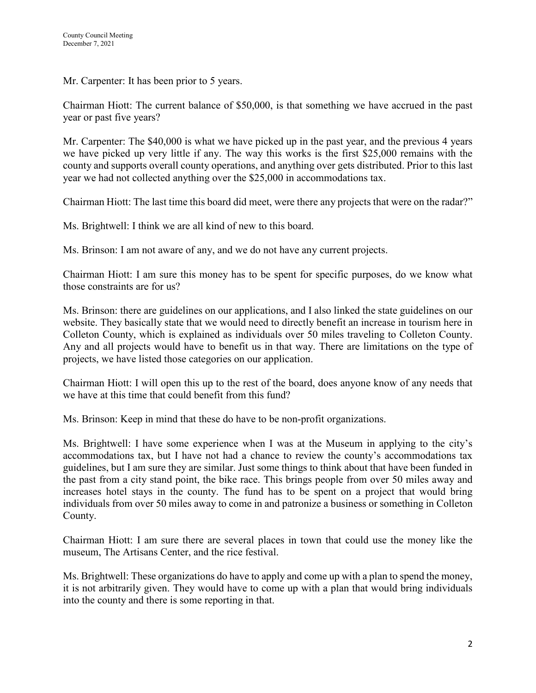Mr. Carpenter: It has been prior to 5 years.

Chairman Hiott: The current balance of \$50,000, is that something we have accrued in the past year or past five years?

Mr. Carpenter: The \$40,000 is what we have picked up in the past year, and the previous 4 years we have picked up very little if any. The way this works is the first \$25,000 remains with the county and supports overall county operations, and anything over gets distributed. Prior to this last year we had not collected anything over the \$25,000 in accommodations tax.

Chairman Hiott: The last time this board did meet, were there any projects that were on the radar?"

Ms. Brightwell: I think we are all kind of new to this board.

Ms. Brinson: I am not aware of any, and we do not have any current projects.

Chairman Hiott: I am sure this money has to be spent for specific purposes, do we know what those constraints are for us?

Ms. Brinson: there are guidelines on our applications, and I also linked the state guidelines on our website. They basically state that we would need to directly benefit an increase in tourism here in Colleton County, which is explained as individuals over 50 miles traveling to Colleton County. Any and all projects would have to benefit us in that way. There are limitations on the type of projects, we have listed those categories on our application.

Chairman Hiott: I will open this up to the rest of the board, does anyone know of any needs that we have at this time that could benefit from this fund?

Ms. Brinson: Keep in mind that these do have to be non-profit organizations.

Ms. Brightwell: I have some experience when I was at the Museum in applying to the city's accommodations tax, but I have not had a chance to review the county's accommodations tax guidelines, but I am sure they are similar. Just some things to think about that have been funded in the past from a city stand point, the bike race. This brings people from over 50 miles away and increases hotel stays in the county. The fund has to be spent on a project that would bring individuals from over 50 miles away to come in and patronize a business or something in Colleton County.

Chairman Hiott: I am sure there are several places in town that could use the money like the museum, The Artisans Center, and the rice festival.

Ms. Brightwell: These organizations do have to apply and come up with a plan to spend the money, it is not arbitrarily given. They would have to come up with a plan that would bring individuals into the county and there is some reporting in that.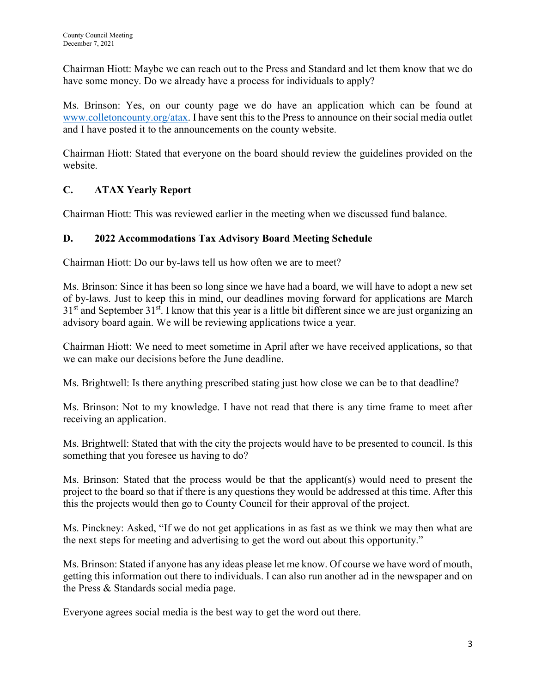Chairman Hiott: Maybe we can reach out to the Press and Standard and let them know that we do have some money. Do we already have a process for individuals to apply?

Ms. Brinson: Yes, on our county page we do have an application which can be found at [www.colletoncounty.org/atax.](http://www.colletoncounty.org/atax) I have sent this to the Press to announce on their social media outlet and I have posted it to the announcements on the county website.

Chairman Hiott: Stated that everyone on the board should review the guidelines provided on the website.

# **C. ATAX Yearly Report**

Chairman Hiott: This was reviewed earlier in the meeting when we discussed fund balance.

## **D. 2022 Accommodations Tax Advisory Board Meeting Schedule**

Chairman Hiott: Do our by-laws tell us how often we are to meet?

Ms. Brinson: Since it has been so long since we have had a board, we will have to adopt a new set of by-laws. Just to keep this in mind, our deadlines moving forward for applications are March  $31<sup>st</sup>$  and September  $31<sup>st</sup>$ . I know that this year is a little bit different since we are just organizing an advisory board again. We will be reviewing applications twice a year.

Chairman Hiott: We need to meet sometime in April after we have received applications, so that we can make our decisions before the June deadline.

Ms. Brightwell: Is there anything prescribed stating just how close we can be to that deadline?

Ms. Brinson: Not to my knowledge. I have not read that there is any time frame to meet after receiving an application.

Ms. Brightwell: Stated that with the city the projects would have to be presented to council. Is this something that you foresee us having to do?

Ms. Brinson: Stated that the process would be that the applicant(s) would need to present the project to the board so that if there is any questions they would be addressed at this time. After this this the projects would then go to County Council for their approval of the project.

Ms. Pinckney: Asked, "If we do not get applications in as fast as we think we may then what are the next steps for meeting and advertising to get the word out about this opportunity."

Ms. Brinson: Stated if anyone has any ideas please let me know. Of course we have word of mouth, getting this information out there to individuals. I can also run another ad in the newspaper and on the Press & Standards social media page.

Everyone agrees social media is the best way to get the word out there.